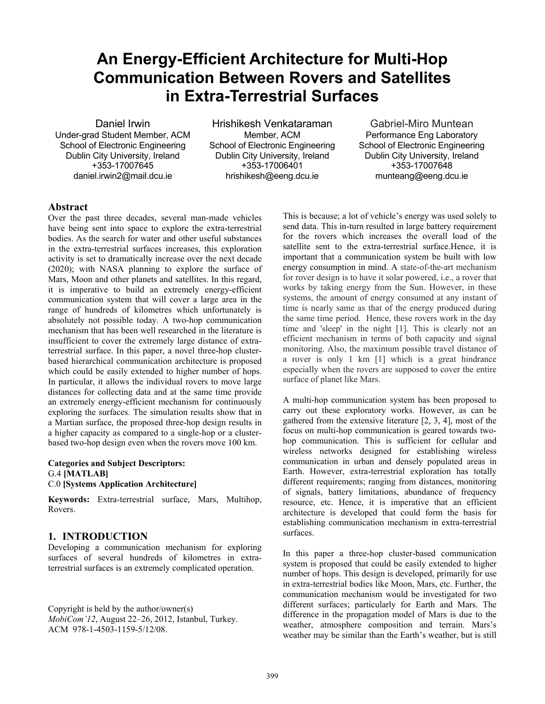# **An Energy-Efficient Architecture for Multi-Hop Communication Between Rovers and Satellites in Extra-Terrestrial Surfaces**

Daniel Irwin Under-grad Student Member, ACM School of Electronic Engineering Dublin City University, Ireland +353-17007645 daniel.irwin2@mail.dcu.ie

Hrishikesh Venkataraman Member, ACM School of Electronic Engineering Dublin City University, Ireland +353-17006401 hrishikesh@eeng.dcu.ie

Gabriel-Miro Muntean Performance Eng Laboratory School of Electronic Engineering Dublin City University, Ireland +353-17007648 munteang@eeng.dcu.ie

## **Abstract**

Over the past three decades, several man-made vehicles have being sent into space to explore the extra-terrestrial bodies. As the search for water and other useful substances in the extra-terrestrial surfaces increases, this exploration activity is set to dramatically increase over the next decade (2020); with NASA planning to explore the surface of Mars, Moon and other planets and satellites. In this regard, it is imperative to build an extremely energy-efficient communication system that will cover a large area in the range of hundreds of kilometres which unfortunately is absolutely not possible today. A two-hop communication mechanism that has been well researched in the literature is insufficient to cover the extremely large distance of extraterrestrial surface. In this paper, a novel three-hop clusterbased hierarchical communication architecture is proposed which could be easily extended to higher number of hops. In particular, it allows the individual rovers to move large distances for collecting data and at the same time provide an extremely energy-efficient mechanism for continuously exploring the surfaces. The simulation results show that in a Martian surface, the proposed three-hop design results in a higher capacity as compared to a single-hop or a clusterbased two-hop design even when the rovers move 100 km.

#### **Categories and Subject Descriptors:**  G.4 **[MATLAB]**  C.0 **[Systems Application Architecture]**

**Keywords:** Extra-terrestrial surface, Mars, Multihop, Rovers.

# **1. INTRODUCTION**

Developing a communication mechanism for exploring surfaces of several hundreds of kilometres in extraterrestrial surfaces is an extremely complicated operation.

Copyright is held by the author/owner(s) *MobiCom'12*, August 22–26, 2012, Istanbul, Turkey. ACM 978-1-4503-1159-5/12/08.

This is because; a lot of vehicle's energy was used solely to send data. This in-turn resulted in large battery requirement for the rovers which increases the overall load of the satellite sent to the extra-terrestrial surface. Hence, it is important that a communication system be built with low energy consumption in mind. A state-of-the-art mechanism for rover design is to have it solar powered, i.e., a rover that works by taking energy from the Sun. However, in these systems, the amount of energy consumed at any instant of time is nearly same as that of the energy produced during the same time period. Hence, these rovers work in the day time and 'sleep' in the night [1]. This is clearly not an efficient mechanism in terms of both capacity and signal monitoring. Also, the maximum possible travel distance of a rover is only 1 km [1] which is a great hindrance especially when the rovers are supposed to cover the entire surface of planet like Mars.

A multi-hop communication system has been proposed to carry out these exploratory works. However, as can be gathered from the extensive literature [2, 3, 4], most of the focus on multi-hop communication is geared towards twohop communication. This is sufficient for cellular and wireless networks designed for establishing wireless communication in urban and densely populated areas in Earth. However, extra-terrestrial exploration has totally different requirements; ranging from distances, monitoring of signals, battery limitations, abundance of frequency resource, etc. Hence, it is imperative that an efficient architecture is developed that could form the basis for establishing communication mechanism in extra-terrestrial surfaces.

In this paper a three-hop cluster-based communication system is proposed that could be easily extended to higher number of hops. This design is developed, primarily for use in extra-terrestrial bodies like Moon, Mars, etc. Further, the communication mechanism would be investigated for two different surfaces; particularly for Earth and Mars. The difference in the propagation model of Mars is due to the weather, atmosphere composition and terrain. Mars's weather may be similar than the Earth's weather, but is still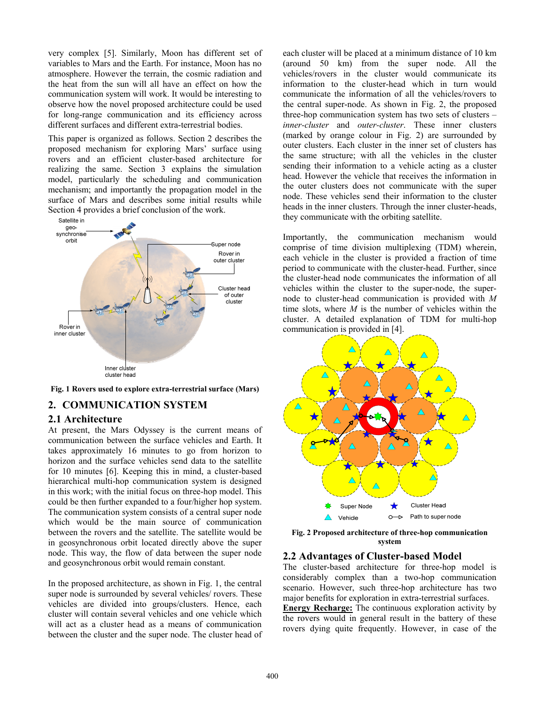very complex [5]. Similarly, Moon has different set of variables to Mars and the Earth. For instance, Moon has no atmosphere. However the terrain, the cosmic radiation and the heat from the sun will all have an effect on how the communication system will work. It would be interesting to observe how the novel proposed architecture could be used for long-range communication and its efficiency across different surfaces and different extra-terrestrial bodies.

This paper is organized as follows. Section 2 describes the proposed mechanism for exploring Mars' surface using rovers and an efficient cluster-based architecture for realizing the same. Section 3 explains the simulation model, particularly the scheduling and communication mechanism; and importantly the propagation model in the surface of Mars and describes some initial results while Section 4 provides a brief conclusion of the work.



**Fig. 1 Rovers used to explore extra-terrestrial surface (Mars)**

### **2. COMMUNICATION SYSTEM**

#### **2.1 Architecture**

At present, the Mars Odyssey is the current means of communication between the surface vehicles and Earth. It takes approximately 16 minutes to go from horizon to horizon and the surface vehicles send data to the satellite for 10 minutes [6]. Keeping this in mind, a cluster-based hierarchical multi-hop communication system is designed in this work; with the initial focus on three-hop model. This could be then further expanded to a four/higher hop system. The communication system consists of a central super node which would be the main source of communication between the rovers and the satellite. The satellite would be in geosynchronous orbit located directly above the super node. This way, the flow of data between the super node and geosynchronous orbit would remain constant.

In the proposed architecture, as shown in Fig. 1, the central super node is surrounded by several vehicles/ rovers. These vehicles are divided into groups/clusters. Hence, each cluster will contain several vehicles and one vehicle which will act as a cluster head as a means of communication between the cluster and the super node. The cluster head of each cluster will be placed at a minimum distance of 10 km (around 50 km) from the super node. All the vehicles/rovers in the cluster would communicate its information to the cluster-head which in turn would communicate the information of all the vehicles/rovers to the central super-node. As shown in Fig. 2, the proposed three-hop communication system has two sets of clusters – *inner-cluster* and *outer-cluster*. These inner clusters (marked by orange colour in Fig. 2) are surrounded by outer clusters. Each cluster in the inner set of clusters has the same structure; with all the vehicles in the cluster sending their information to a vehicle acting as a cluster head. However the vehicle that receives the information in the outer clusters does not communicate with the super node. These vehicles send their information to the cluster heads in the inner clusters. Through the inner cluster-heads, they communicate with the orbiting satellite.

Importantly, the communication mechanism would comprise of time division multiplexing (TDM) wherein, each vehicle in the cluster is provided a fraction of time period to communicate with the cluster-head. Further, since the cluster-head node communicates the information of all vehicles within the cluster to the super-node, the supernode to cluster-head communication is provided with *M* time slots, where *M* is the number of vehicles within the cluster. A detailed explanation of TDM for multi-hop communication is provided in [4].



**Fig. 2 Proposed architecture of three-hop communication system** 

#### **2.2 Advantages of Cluster-based Model**

The cluster-based architecture for three-hop model is considerably complex than a two-hop communication scenario. However, such three-hop architecture has two major benefits for exploration in extra-terrestrial surfaces.

**Energy Recharge:** The continuous exploration activity by the rovers would in general result in the battery of these rovers dying quite frequently. However, in case of the